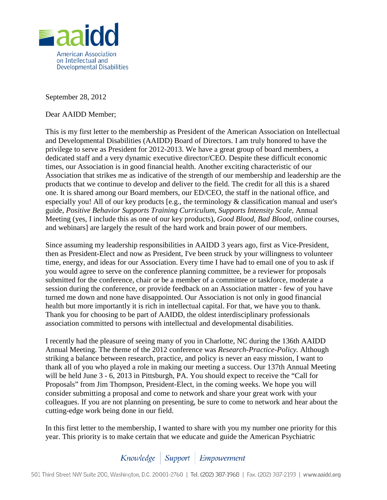

September 28, 2012

Dear AAIDD Member;

This is my first letter to the membership as President of the American Association on Intellectual and Developmental Disabilities (AAIDD) Board of Directors. I am truly honored to have the privilege to serve as President for 2012-2013. We have a great group of board members, a dedicated staff and a very dynamic executive director/CEO. Despite these difficult economic times, our Association is in good financial health. Another exciting characteristic of our Association that strikes me as indicative of the strength of our membership and leadership are the products that we continue to develop and deliver to the field. The credit for all this is a shared one. It is shared among our Board members, our ED/CEO, the staff in the national office, and especially you! All of our key products [e.g., the terminology & classification manual and user's guide, *Positive Behavior Supports Training Curriculum*, *Supports Intensity Scale*, Annual Meeting (yes, I include this as one of our key products), *Good Blood, Bad Blood*, online courses, and webinars] are largely the result of the hard work and brain power of our members.

Since assuming my leadership responsibilities in AAIDD 3 years ago, first as Vice-President, then as President-Elect and now as President, I've been struck by your willingness to volunteer time, energy, and ideas for our Association. Every time I have had to email one of you to ask if you would agree to serve on the conference planning committee, be a reviewer for proposals submitted for the conference, chair or be a member of a committee or taskforce, moderate a session during the conference, or provide feedback on an Association matter - few of you have turned me down and none have disappointed. Our Association is not only in good financial health but more importantly it is rich in intellectual capital. For that, we have you to thank. Thank you for choosing to be part of AAIDD, the oldest interdisciplinary professionals association committed to persons with intellectual and developmental disabilities.

I recently had the pleasure of seeing many of you in Charlotte, NC during the 136th AAIDD Annual Meeting. The theme of the 2012 conference was *Research-Practice-Policy.* Although striking a balance between research, practice, and policy is never an easy mission, I want to thank all of you who played a role in making our meeting a success. Our 137th Annual Meeting will be held June 3 - 6, 2013 in Pittsburgh, PA. You should expect to receive the "Call for Proposals" from Jim Thompson, President-Elect, in the coming weeks. We hope you will consider submitting a proposal and come to network and share your great work with your colleagues. If you are not planning on presenting, be sure to come to network and hear about the cutting-edge work being done in our field.

In this first letter to the membership, I wanted to share with you my number one priority for this year. This priority is to make certain that we educate and guide the American Psychiatric

Knowledge | Support | Empowerment